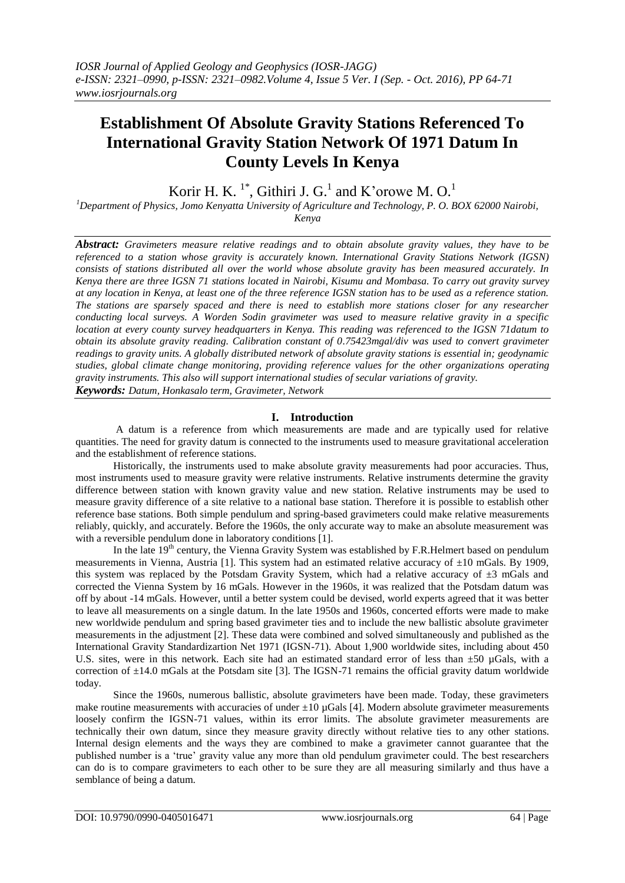# **Establishment Of Absolute Gravity Stations Referenced To International Gravity Station Network Of 1971 Datum In County Levels In Kenya**

Korir H. K.<sup>1\*</sup>, Githiri J. G.<sup>1</sup> and K'orowe M. O.<sup>1</sup>

*<sup>1</sup>Department of Physics, Jomo Kenyatta University of Agriculture and Technology, P. O. BOX 62000 Nairobi, Kenya*

*Abstract: Gravimeters measure relative readings and to obtain absolute gravity values, they have to be referenced to a station whose gravity is accurately known. International Gravity Stations Network (IGSN) consists of stations distributed all over the world whose absolute gravity has been measured accurately. In Kenya there are three IGSN 71 stations located in Nairobi, Kisumu and Mombasa. To carry out gravity survey at any location in Kenya, at least one of the three reference IGSN station has to be used as a reference station. The stations are sparsely spaced and there is need to establish more stations closer for any researcher conducting local surveys. A Worden Sodin gravimeter was used to measure relative gravity in a specific location at every county survey headquarters in Kenya. This reading was referenced to the IGSN 71datum to obtain its absolute gravity reading. Calibration constant of 0.75423mgal/div was used to convert gravimeter readings to gravity units. A globally distributed network of absolute gravity stations is essential in; geodynamic studies, global climate change monitoring, providing reference values for the other organizations operating gravity instruments. This also will support international studies of secular variations of gravity. Keywords: Datum, Honkasalo term, Gravimeter, Network*

# **I. Introduction**

A datum is a reference from which measurements are made and are typically used for relative quantities. The need for gravity datum is connected to the instruments used to measure gravitational acceleration and the establishment of reference stations.

Historically, the instruments used to make absolute gravity measurements had poor accuracies. Thus, most instruments used to measure gravity were relative instruments. Relative instruments determine the gravity difference between station with known gravity value and new station. Relative instruments may be used to measure gravity difference of a site relative to a national base station. Therefore it is possible to establish other reference base stations. Both simple pendulum and spring-based gravimeters could make relative measurements reliably, quickly, and accurately. Before the 1960s, the only accurate way to make an absolute measurement was with a reversible pendulum done in laboratory conditions [1].

In the late 19<sup>th</sup> century, the Vienna Gravity System was established by F.R.Helmert based on pendulum measurements in Vienna, Austria [1]. This system had an estimated relative accuracy of  $\pm 10$  mGals. By 1909, this system was replaced by the Potsdam Gravity System, which had a relative accuracy of ±3 mGals and corrected the Vienna System by 16 mGals. However in the 1960s, it was realized that the Potsdam datum was off by about -14 mGals. However, until a better system could be devised, world experts agreed that it was better to leave all measurements on a single datum. In the late 1950s and 1960s, concerted efforts were made to make new worldwide pendulum and spring based gravimeter ties and to include the new ballistic absolute gravimeter measurements in the adjustment [2]. These data were combined and solved simultaneously and published as the International Gravity Standardizartion Net 1971 (IGSN-71). About 1,900 worldwide sites, including about 450 U.S. sites, were in this network. Each site had an estimated standard error of less than  $\pm 50$  µGals, with a correction of  $\pm 14.0$  mGals at the Potsdam site [3]. The IGSN-71 remains the official gravity datum worldwide today.

Since the 1960s, numerous ballistic, absolute gravimeters have been made. Today, these gravimeters make routine measurements with accuracies of under  $\pm 10$  µGals [4]. Modern absolute gravimeter measurements loosely confirm the IGSN-71 values, within its error limits. The absolute gravimeter measurements are technically their own datum, since they measure gravity directly without relative ties to any other stations. Internal design elements and the ways they are combined to make a gravimeter cannot guarantee that the published number is a "true" gravity value any more than old pendulum gravimeter could. The best researchers can do is to compare gravimeters to each other to be sure they are all measuring similarly and thus have a semblance of being a datum.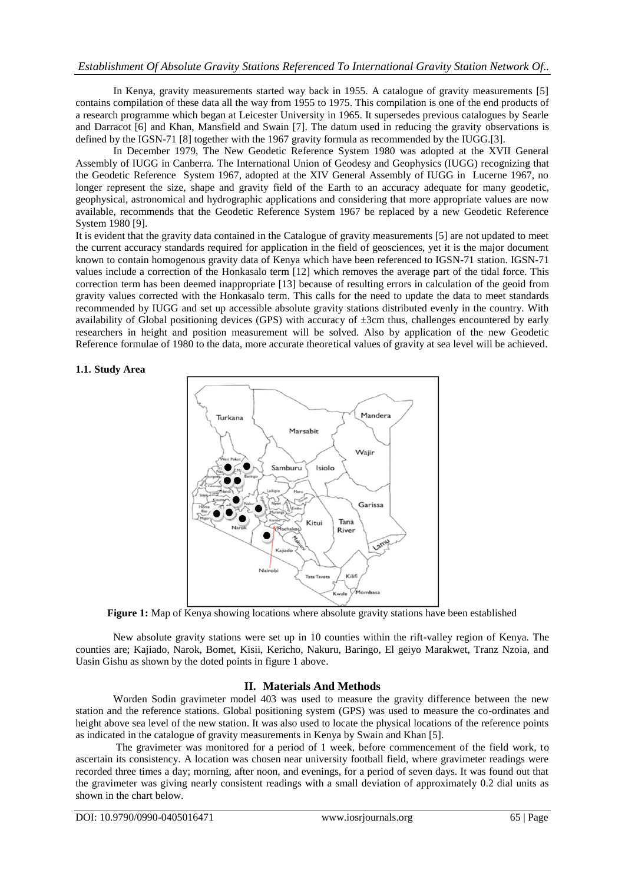# *Establishment Of Absolute Gravity Stations Referenced To International Gravity Station Network Of..*

In Kenya, gravity measurements started way back in 1955. A catalogue of gravity measurements [5] contains compilation of these data all the way from 1955 to 1975. This compilation is one of the end products of a research programme which began at Leicester University in 1965. It supersedes previous catalogues by Searle and Darracot [6] and Khan, Mansfield and Swain [7]. The datum used in reducing the gravity observations is defined by the IGSN-71 [8] together with the 1967 gravity formula as recommended by the IUGG.[3].

In December 1979, The New Geodetic Reference System 1980 was adopted at the XVII General Assembly of IUGG in Canberra. The International Union of Geodesy and Geophysics (IUGG) recognizing that the Geodetic Reference System 1967, adopted at the XIV General Assembly of IUGG in Lucerne 1967, no longer represent the size, shape and gravity field of the Earth to an accuracy adequate for many geodetic, geophysical, astronomical and hydrographic applications and considering that more appropriate values are now available, recommends that the Geodetic Reference System 1967 be replaced by a new Geodetic Reference System 1980 [9].

It is evident that the gravity data contained in the Catalogue of gravity measurements [5] are not updated to meet the current accuracy standards required for application in the field of geosciences, yet it is the major document known to contain homogenous gravity data of Kenya which have been referenced to IGSN-71 station. IGSN-71 values include a correction of the Honkasalo term [12] which removes the average part of the tidal force. This correction term has been deemed inappropriate [13] because of resulting errors in calculation of the geoid from gravity values corrected with the Honkasalo term. This calls for the need to update the data to meet standards recommended by IUGG and set up accessible absolute gravity stations distributed evenly in the country. With availability of Global positioning devices (GPS) with accuracy of ±3cm thus, challenges encountered by early researchers in height and position measurement will be solved. Also by application of the new Geodetic Reference formulae of 1980 to the data, more accurate theoretical values of gravity at sea level will be achieved.

#### **1.1. Study Area**



Figure 1: Map of Kenya showing locations where absolute gravity stations have been established

New absolute gravity stations were set up in 10 counties within the rift-valley region of Kenya. The counties are; Kajiado, Narok, Bomet, Kisii, Kericho, Nakuru, Baringo, El geiyo Marakwet, Tranz Nzoia, and Uasin Gishu as shown by the doted points in figure 1 above.

# **II. Materials And Methods**

Worden Sodin gravimeter model 403 was used to measure the gravity difference between the new station and the reference stations. Global positioning system (GPS) was used to measure the co-ordinates and height above sea level of the new station. It was also used to locate the physical locations of the reference points as indicated in the catalogue of gravity measurements in Kenya by Swain and Khan [5].

The gravimeter was monitored for a period of 1 week, before commencement of the field work, to ascertain its consistency. A location was chosen near university football field, where gravimeter readings were recorded three times a day; morning, after noon, and evenings, for a period of seven days. It was found out that the gravimeter was giving nearly consistent readings with a small deviation of approximately 0.2 dial units as shown in the chart below.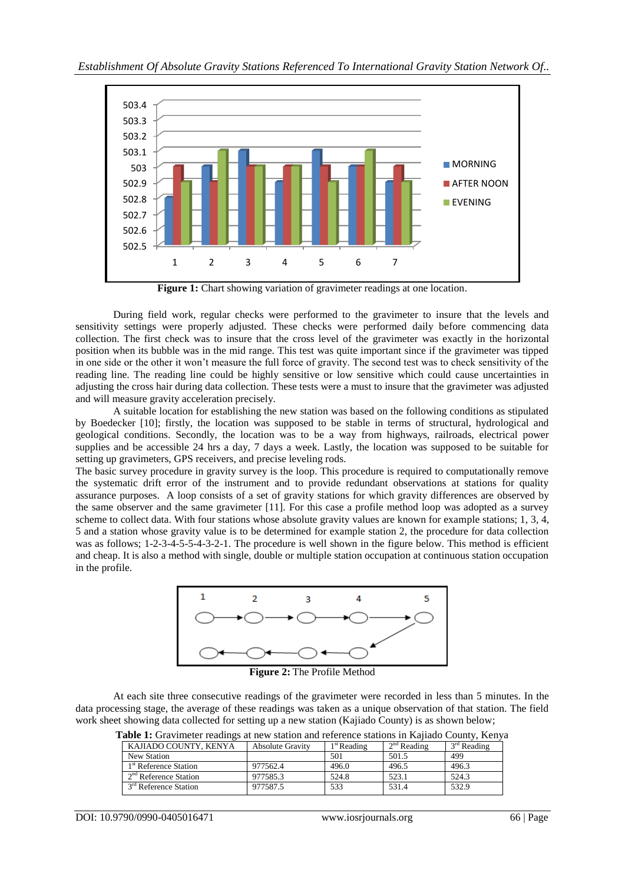

**Figure 1:** Chart showing variation of gravimeter readings at one location.

During field work, regular checks were performed to the gravimeter to insure that the levels and sensitivity settings were properly adjusted. These checks were performed daily before commencing data collection. The first check was to insure that the cross level of the gravimeter was exactly in the horizontal position when its bubble was in the mid range. This test was quite important since if the gravimeter was tipped in one side or the other it won"t measure the full force of gravity. The second test was to check sensitivity of the reading line. The reading line could be highly sensitive or low sensitive which could cause uncertainties in adjusting the cross hair during data collection. These tests were a must to insure that the gravimeter was adjusted and will measure gravity acceleration precisely.

A suitable location for establishing the new station was based on the following conditions as stipulated by Boedecker [10]; firstly, the location was supposed to be stable in terms of structural, hydrological and geological conditions. Secondly, the location was to be a way from highways, railroads, electrical power supplies and be accessible 24 hrs a day, 7 days a week. Lastly, the location was supposed to be suitable for setting up gravimeters, GPS receivers, and precise leveling rods.

The basic survey procedure in gravity survey is the loop. This procedure is required to computationally remove the systematic drift error of the instrument and to provide redundant observations at stations for quality assurance purposes. A loop consists of a set of gravity stations for which gravity differences are observed by the same observer and the same gravimeter [11]. For this case a profile method loop was adopted as a survey scheme to collect data. With four stations whose absolute gravity values are known for example stations; 1, 3, 4, 5 and a station whose gravity value is to be determined for example station 2, the procedure for data collection was as follows; 1-2-3-4-5-5-4-3-2-1. The procedure is well shown in the figure below. This method is efficient and cheap. It is also a method with single, double or multiple station occupation at continuous station occupation in the profile.



**Figure 2:** The Profile Method

At each site three consecutive readings of the gravimeter were recorded in less than 5 minutes. In the data processing stage, the average of these readings was taken as a unique observation of that station. The field work sheet showing data collected for setting up a new station (Kajiado County) is as shown below;

**Table 1:** Gravimeter readings at new station and reference stations in Kajiado County, Kenya

| KAJIADO COUNTY, KENYA             | <b>Absolute Gravity</b> | $1st$ Reading | $2nd$ Reading | $3rd$ Reading |
|-----------------------------------|-------------------------|---------------|---------------|---------------|
| New Station                       |                         | 501           | 501.5         | 499           |
| 1 <sup>st</sup> Reference Station | 977562.4                | 496.0         | 496.5         | 496.3         |
| 2 <sup>nd</sup> Reference Station | 977585.3                | 524.8         | 523.1         | 524.3         |
| 3 <sup>rd</sup> Reference Station | 977587.5                | 533           | 531.4         | 532.9         |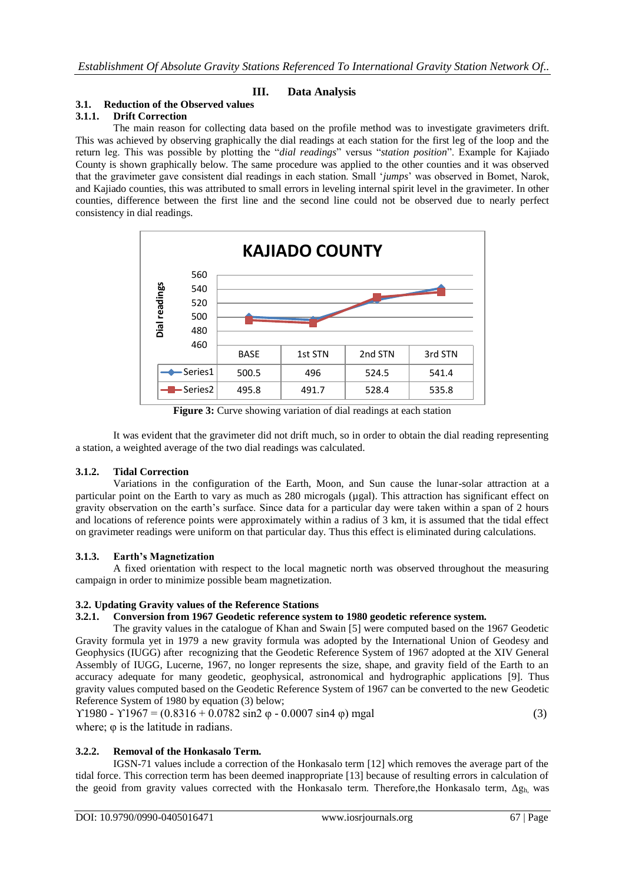# **III. Data Analysis**

# **3.1. Reduction of the Observed values**

# **3.1.1. Drift Correction**

The main reason for collecting data based on the profile method was to investigate gravimeters drift. This was achieved by observing graphically the dial readings at each station for the first leg of the loop and the return leg. This was possible by plotting the "*dial readings*" versus "*station position*". Example for Kajiado County is shown graphically below. The same procedure was applied to the other counties and it was observed that the gravimeter gave consistent dial readings in each station. Small "*jumps*" was observed in Bomet, Narok, and Kajiado counties, this was attributed to small errors in leveling internal spirit level in the gravimeter. In other counties, difference between the first line and the second line could not be observed due to nearly perfect consistency in dial readings.



Figure 3: Curve showing variation of dial readings at each station

It was evident that the gravimeter did not drift much, so in order to obtain the dial reading representing a station, a weighted average of the two dial readings was calculated.

# **3.1.2. Tidal Correction**

Variations in the configuration of the Earth, Moon, and Sun cause the lunar-solar attraction at a particular point on the Earth to vary as much as 280 microgals (µgal). This attraction has significant effect on gravity observation on the earth"s surface. Since data for a particular day were taken within a span of 2 hours and locations of reference points were approximately within a radius of 3 km, it is assumed that the tidal effect on gravimeter readings were uniform on that particular day. Thus this effect is eliminated during calculations.

# **3.1.3. Earth's Magnetization**

A fixed orientation with respect to the local magnetic north was observed throughout the measuring campaign in order to minimize possible beam magnetization.

# **3.2. Updating Gravity values of the Reference Stations**

# **3.2.1. Conversion from 1967 Geodetic reference system to 1980 geodetic reference system.**

The gravity values in the catalogue of Khan and Swain [5] were computed based on the 1967 Geodetic Gravity formula yet in 1979 a new gravity formula was adopted by the International Union of Geodesy and Geophysics (IUGG) after recognizing that the Geodetic Reference System of 1967 adopted at the XIV General Assembly of IUGG, Lucerne, 1967, no longer represents the size, shape, and gravity field of the Earth to an accuracy adequate for many geodetic, geophysical, astronomical and hydrographic applications [9]. Thus gravity values computed based on the Geodetic Reference System of 1967 can be converted to the new Geodetic Reference System of 1980 by equation (3) below;

```
Y1980 - Y1967 = (0.8316 + 0.0782 \sin 2 \varphi - 0.0007 \sin 4 \varphi) mgal (3)
where; \varphi is the latitude in radians.
```
# **3.2.2. Removal of the Honkasalo Term.**

IGSN-71 values include a correction of the Honkasalo term [12] which removes the average part of the tidal force. This correction term has been deemed inappropriate [13] because of resulting errors in calculation of the geoid from gravity values corrected with the Honkasalo term. Therefore, the Honkasalo term,  $\Delta g_h$  was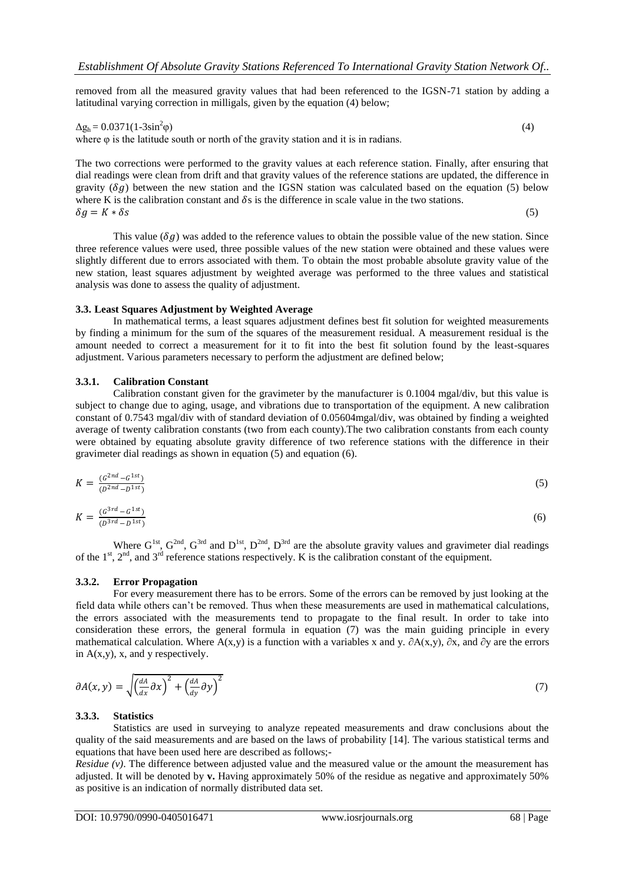removed from all the measured gravity values that had been referenced to the IGSN-71 station by adding a latitudinal varying correction in milligals, given by the equation (4) below;

$$
\Delta g_h = 0.0371(1 - 3\sin^2 \phi) \tag{4}
$$

where φ is the latitude south or north of the gravity station and it is in radians.

The two corrections were performed to the gravity values at each reference station. Finally, after ensuring that dial readings were clean from drift and that gravity values of the reference stations are updated, the difference in gravity  $(\delta g)$  between the new station and the IGSN station was calculated based on the equation (5) below where K is the calibration constant and  $\delta s$  is the difference in scale value in the two stations.<br> $\delta q = K * \delta s$  $\delta g = K * \delta s$  (5)

This value ( $\delta q$ ) was added to the reference values to obtain the possible value of the new station. Since three reference values were used, three possible values of the new station were obtained and these values were slightly different due to errors associated with them. To obtain the most probable absolute gravity value of the new station, least squares adjustment by weighted average was performed to the three values and statistical analysis was done to assess the quality of adjustment.

#### **3.3. Least Squares Adjustment by Weighted Average**

In mathematical terms, a least squares adjustment defines best fit solution for weighted measurements by finding a minimum for the sum of the squares of the measurement residual. A measurement residual is the amount needed to correct a measurement for it to fit into the best fit solution found by the least-squares adjustment. Various parameters necessary to perform the adjustment are defined below;

#### **3.3.1. Calibration Constant**

Calibration constant given for the gravimeter by the manufacturer is 0.1004 mgal/div, but this value is subject to change due to aging, usage, and vibrations due to transportation of the equipment. A new calibration constant of 0.7543 mgal/div with of standard deviation of 0.05604mgal/div, was obtained by finding a weighted average of twenty calibration constants (two from each county).The two calibration constants from each county were obtained by equating absolute gravity difference of two reference stations with the difference in their gravimeter dial readings as shown in equation (5) and equation (6).

$$
K = \frac{(G^{2nd} - G^{1st})}{(D^{2nd} - D^{1st})}
$$
(5)

$$
K = \frac{(G^{3rd} - G^{1st})}{(D^{3rd} - D^{1st})}
$$
(6)

Where  $G^{1st}$ ,  $G^{2nd}$ ,  $G^{3rd}$  and  $D^{1st}$ ,  $D^{2nd}$ ,  $D^{3rd}$  are the absolute gravity values and gravimeter dial readings of the  $1<sup>st</sup>$ ,  $2<sup>nd</sup>$ , and  $3<sup>rd</sup>$  reference stations respectively. K is the calibration constant of the equipment.

#### **3.3.2. Error Propagation**

For every measurement there has to be errors. Some of the errors can be removed by just looking at the field data while others can"t be removed. Thus when these measurements are used in mathematical calculations, the errors associated with the measurements tend to propagate to the final result. In order to take into consideration these errors, the general formula in equation (7) was the main guiding principle in every mathematical calculation. Where A(x,y) is a function with a variables x and y.  $\partial A(x,y)$ ,  $\partial x$ , and  $\partial y$  are the errors in  $A(x,y)$ , x, and y respectively.

$$
\partial A(x, y) = \sqrt{\left(\frac{dA}{dx}\partial x\right)^2 + \left(\frac{dA}{dy}\partial y\right)^2} \tag{7}
$$

#### **3.3.3. Statistics**

Statistics are used in surveying to analyze repeated measurements and draw conclusions about the quality of the said measurements and are based on the laws of probability [14]. The various statistical terms and equations that have been used here are described as follows;-

*Residue (v)*. The difference between adjusted value and the measured value or the amount the measurement has adjusted. It will be denoted by **v.** Having approximately 50% of the residue as negative and approximately 50% as positive is an indication of normally distributed data set.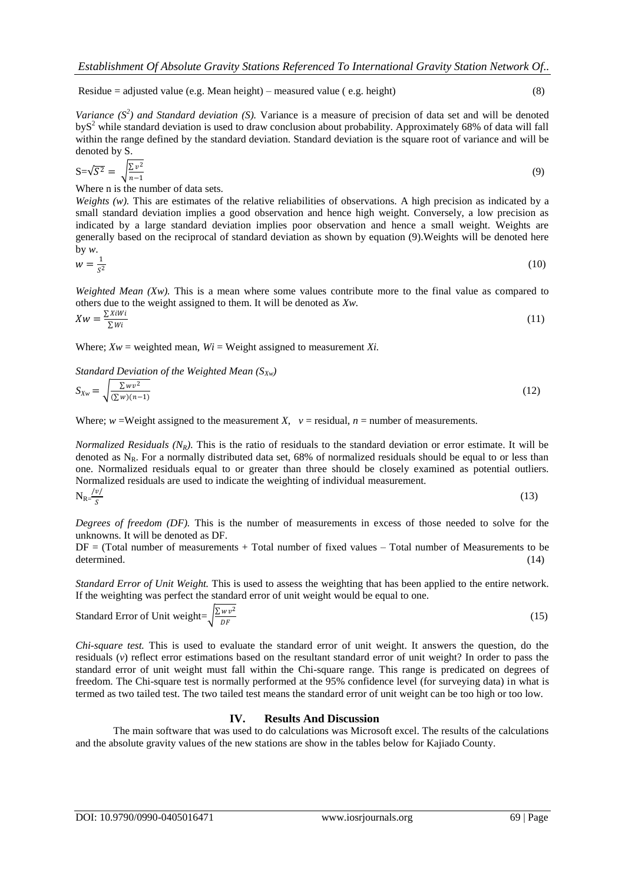Residue = adjusted value (e.g. Mean height) – measured value (e.g. height) (8)

*Variance*  $(S^2)$  *and Standard deviation* (S). Variance is a measure of precision of data set and will be denoted  $b<sub>9</sub>S<sup>2</sup>$  while standard deviation is used to draw conclusion about probability. Approximately 68% of data will fall within the range defined by the standard deviation. Standard deviation is the square root of variance and will be denoted by S.

$$
S = \sqrt{S^2} = \sqrt{\frac{\Sigma v^2}{n - 1}}\tag{9}
$$

Where n is the number of data sets.

*Weights (w).* This are estimates of the relative reliabilities of observations. A high precision as indicated by a small standard deviation implies a good observation and hence high weight. Conversely, a low precision as indicated by a large standard deviation implies poor observation and hence a small weight. Weights are generally based on the reciprocal of standard deviation as shown by equation (9).Weights will be denoted here by *w*.

$$
w = \frac{1}{s^2} \tag{10}
$$

*Weighted Mean (Xw)*. This is a mean where some values contribute more to the final value as compared to others due to the weight assigned to them. It will be denoted as *Xw.*

$$
Xw = \frac{\sum XiWi}{\sum Wi} \tag{11}
$$

Where;  $Xw =$  weighted mean,  $Wi =$  Weight assigned to measurement *Xi*.

*Standard Deviation of the Weighted Mean (SXw)*

$$
S_{Xw} = \sqrt{\frac{\sum wv^2}{(\sum w)(n-1)}}\tag{12}
$$

Where;  $w = Weight$  assigned to the measurement *X*,  $v = residual$ ,  $n = number$  of measurements.

*Normalized Residuals (NR).* This is the ratio of residuals to the standard deviation or error estimate. It will be denoted as  $N_R$ . For a normally distributed data set, 68% of normalized residuals should be equal to or less than one. Normalized residuals equal to or greater than three should be closely examined as potential outliers. Normalized residuals are used to indicate the weighting of individual measurement.  $|v|$ 

$$
N_{R} = \frac{1}{s}
$$
 (13)

*Degrees of freedom (DF).* This is the number of measurements in excess of those needed to solve for the unknowns. It will be denoted as DF.

DF = (Total number of measurements + Total number of fixed values – Total number of Measurements to be determined. (14)

*Standard Error of Unit Weight.* This is used to assess the weighting that has been applied to the entire network. If the weighting was perfect the standard error of unit weight would be equal to one.

Standard Error of Unit weight=
$$
\sqrt{\frac{\sum w v^2}{DF}}
$$
 (15)

*Chi-square test.* This is used to evaluate the standard error of unit weight. It answers the question, do the residuals (*v*) reflect error estimations based on the resultant standard error of unit weight? In order to pass the standard error of unit weight must fall within the Chi-square range. This range is predicated on degrees of freedom. The Chi-square test is normally performed at the 95% confidence level (for surveying data) in what is termed as two tailed test. The two tailed test means the standard error of unit weight can be too high or too low.

#### **IV. Results And Discussion**

The main software that was used to do calculations was Microsoft excel. The results of the calculations and the absolute gravity values of the new stations are show in the tables below for Kajiado County.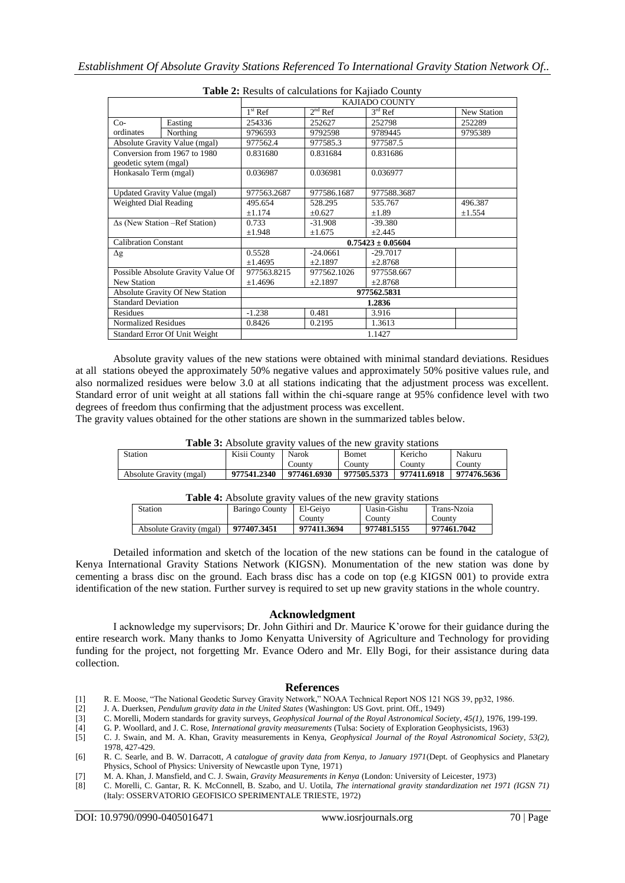|                                                       |                                 | <b>rapic 2.</b> Kesuns of calculations for Kaffado County |             |             |             |
|-------------------------------------------------------|---------------------------------|-----------------------------------------------------------|-------------|-------------|-------------|
|                                                       |                                 | KAJIADO COUNTY                                            |             |             |             |
|                                                       |                                 | $1st$ Ref                                                 | $2nd$ Ref   | $3rd$ Ref   | New Station |
| $Co-$                                                 | Easting                         | 254336                                                    | 252627      | 252798      | 252289      |
| ordinates                                             | Northing                        | 9796593                                                   | 9792598     | 9789445     | 9795389     |
| Absolute Gravity Value (mgal)                         |                                 | 977562.4                                                  | 977585.3    | 977587.5    |             |
| Conversion from 1967 to 1980<br>geodetic sytem (mgal) |                                 | 0.831680                                                  | 0.831684    | 0.831686    |             |
| Honkasalo Term (mgal)                                 |                                 | 0.036987                                                  | 0.036981    | 0.036977    |             |
| <b>Updated Gravity Value (mgal)</b>                   |                                 | 977563.2687                                               | 977586.1687 | 977588.3687 |             |
| Weighted Dial Reading                                 |                                 | 495.654                                                   | 528.295     | 535.767     | 496.387     |
|                                                       |                                 | ±1.174                                                    | $\pm 0.627$ | $\pm 1.89$  | ±1.554      |
| $\Delta s$ (New Station –Ref Station)                 |                                 | 0.733                                                     | $-31.908$   | $-39.380$   |             |
|                                                       |                                 | ±1.948                                                    | ±1.675      | ±2.445      |             |
| <b>Calibration Constant</b>                           |                                 | $0.75423 \pm 0.05604$                                     |             |             |             |
| $\Delta g$                                            |                                 | 0.5528                                                    | $-24.0661$  | $-29.7017$  |             |
|                                                       |                                 | ±1.4695                                                   | ±2.1897     | ±2.8768     |             |
| Possible Absolute Gravity Value Of                    |                                 | 977563.8215                                               | 977562.1026 | 977558.667  |             |
| <b>New Station</b>                                    |                                 | ±1.4696                                                   | ±2.1897     | ±2.8768     |             |
|                                                       | Absolute Gravity Of New Station | 977562.5831                                               |             |             |             |
| <b>Standard Deviation</b>                             |                                 | 1.2836                                                    |             |             |             |
| Residues                                              |                                 | $-1.238$                                                  | 0.481       | 3.916       |             |
| <b>Normalized Residues</b>                            |                                 | 0.8426                                                    | 0.2195      | 1.3613      |             |
|                                                       | Standard Error Of Unit Weight   | 1.1427                                                    |             |             |             |

| Table 2: Results of calculations for Kajiado County |  |
|-----------------------------------------------------|--|
|-----------------------------------------------------|--|

Absolute gravity values of the new stations were obtained with minimal standard deviations. Residues at all stations obeyed the approximately 50% negative values and approximately 50% positive values rule, and also normalized residues were below 3.0 at all stations indicating that the adjustment process was excellent. Standard error of unit weight at all stations fall within the chi-square range at 95% confidence level with two degrees of freedom thus confirming that the adjustment process was excellent.

The gravity values obtained for the other stations are shown in the summarized tables below.

| <b>Table 3:</b> Absolute gravity values of the new gravity stations |              |             |               |             |             |
|---------------------------------------------------------------------|--------------|-------------|---------------|-------------|-------------|
| Station                                                             | Kisii County | Narok       | <b>B</b> omet | Kericho     | Nakuru      |
|                                                                     |              | County      | County        | County      | County      |
| Absolute Gravity (mgal)                                             | 977541.2340  | 977461.6930 | 977505.5373   | 977411.6918 | 977476.5636 |

| <b>Table 4:</b> Absolute gravity values of the new gravity stations |             |             |             |             |  |
|---------------------------------------------------------------------|-------------|-------------|-------------|-------------|--|
| Station<br>Baringo County                                           |             | El-Geivo    | Uasin-Gishu | Trans-Nzoia |  |
|                                                                     |             | County      | County      | County      |  |
| Absolute Gravity (mgal)                                             | 977407.3451 | 977411.3694 | 977481.5155 | 977461.7042 |  |

Detailed information and sketch of the location of the new stations can be found in the catalogue of Kenya International Gravity Stations Network (KIGSN). Monumentation of the new station was done by cementing a brass disc on the ground. Each brass disc has a code on top (e.g KIGSN 001) to provide extra identification of the new station. Further survey is required to set up new gravity stations in the whole country.

#### **Acknowledgment**

I acknowledge my supervisors; Dr. John Githiri and Dr. Maurice K"orowe for their guidance during the entire research work. Many thanks to Jomo Kenyatta University of Agriculture and Technology for providing funding for the project, not forgetting Mr. Evance Odero and Mr. Elly Bogi, for their assistance during data collection.

#### **References**

- [1] R. E. Moose, "The National Geodetic Survey Gravity Network," NOAA Technical Report NOS 121 NGS 39, pp32, 1986.<br>[2] J. A. Duerksen, *Pendulum gravity data in the United States* (Washington: US Govt. print. Off., 1949)
- [2] J. A. Duerksen, *Pendulum gravity data in the United States* (Washington: US Govt. print. Off., 1949)
- [3] C. Morelli, Modern standards for gravity surveys, *Geophysical Journal of the Royal Astronomical Society, 45(1),* 1976, 199-199.<br>
[4] G. P. Woollard, and J. C. Rose, *International gravity measurements* (Tulsa: Society
- [4] G. P. Woollard, and J. C. Rose, *International gravity measurements* (Tulsa: Society of Exploration Geophysicists, 1963)
- [5] C. J. Swain, and M. A. Khan, Gravity measurements in Kenya, *Geophysical Journal of the Royal Astronomical Society, 53(2),* 1978, 427-429.

- [7] M. A. Khan, J. Mansfield, and C. J. Swain, *Gravity Measurements in Kenya* (London: University of Leicester, 1973)
- [8] C. Morelli, C. Gantar, R. K. McConnell, B. Szabo, and U. Uotila, *The international gravity standardization net 1971 (IGSN 71)* (Italy: OSSERVATORIO GEOFISICO SPERIMENTALE TRIESTE, 1972)

<sup>[6]</sup> R. C. Searle, and B. W. Darracott, *A catalogue of gravity data from Kenya, to January 1971*(Dept. of Geophysics and Planetary Physics, School of Physics: University of Newcastle upon Tyne, 1971)